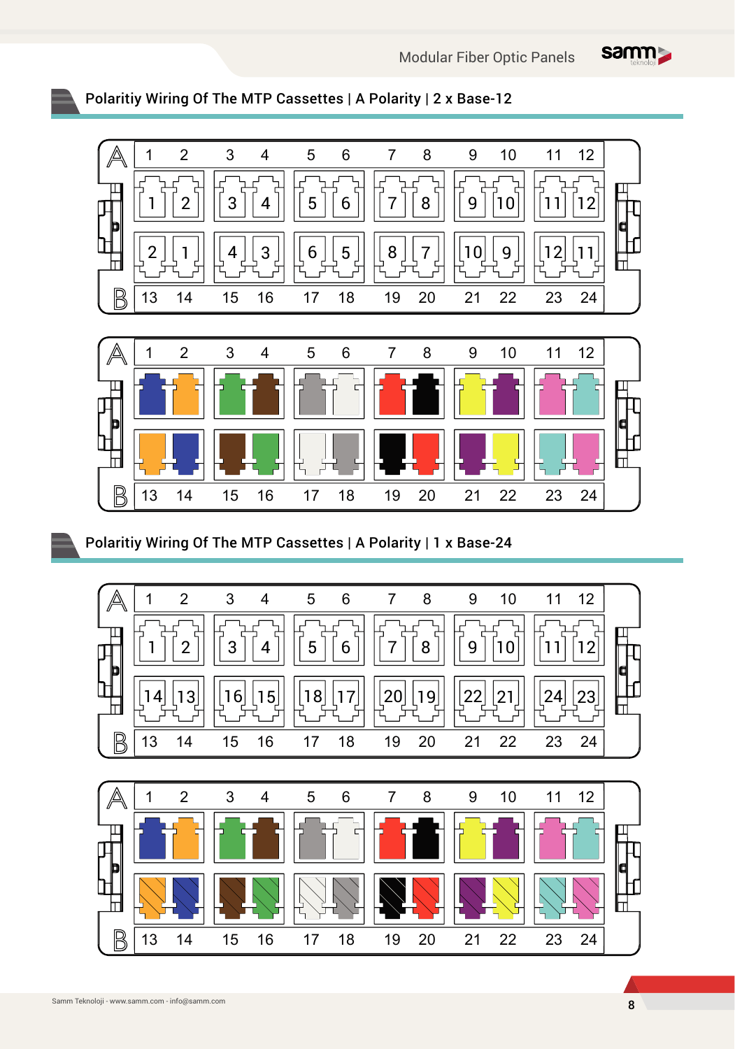

## Polaritiy Wiring Of The MTP Cassettes | A Polarity | 2 x Base-12



## Polaritiy Wiring Of The MTP Cassettes | A Polarity | 1 x Base-24

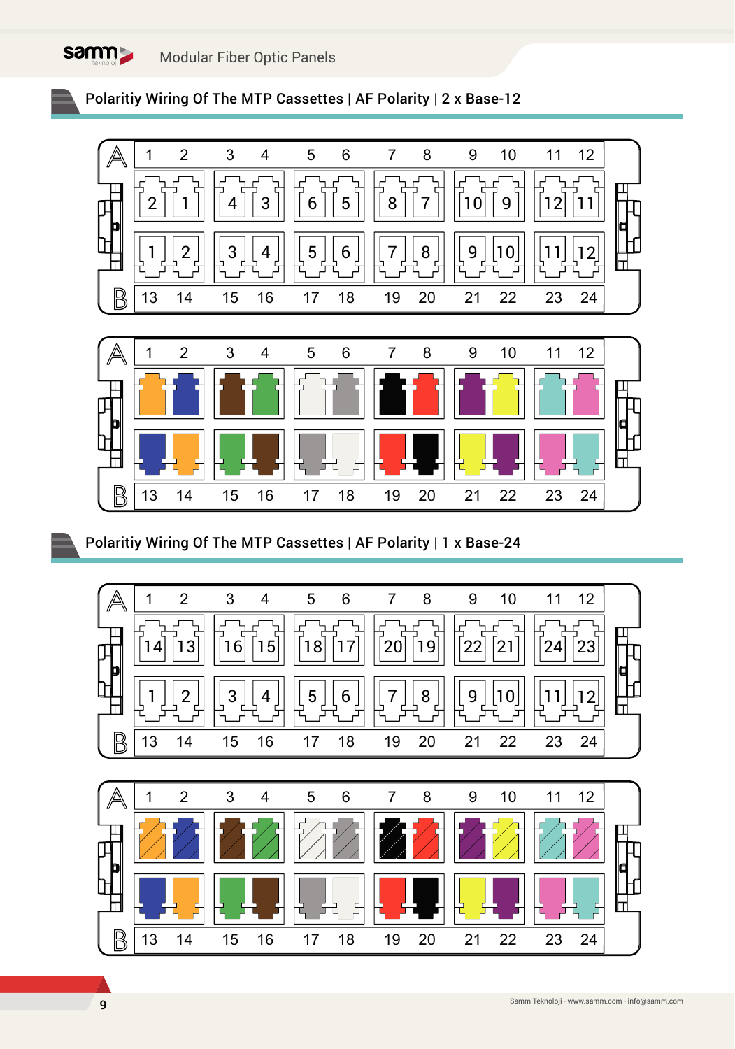Modular Fiber Optic Panels

**Samm** 





Polaritiy Wiring Of The MTP Cassettes | AF Polarity | 1 x Base-24